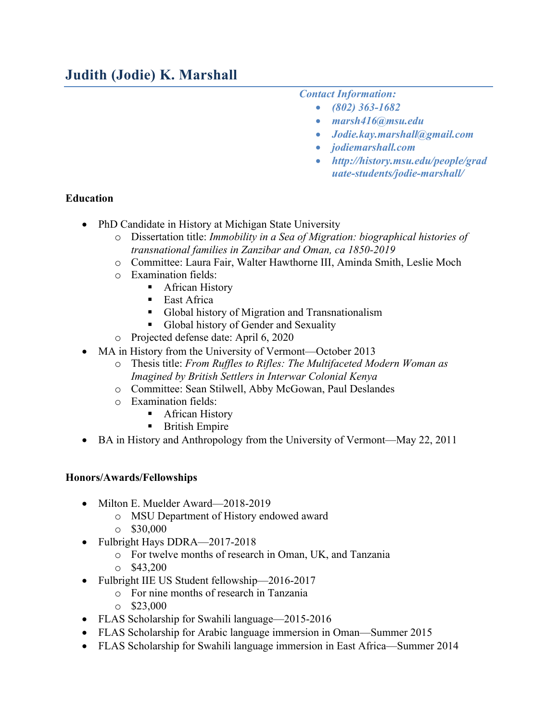### *Contact Information:*

- *(802) 363-1682*
- *marsh416@msu.edu*
- *Jodie.kay.marshall@gmail.com*
- *jodiemarshall.com*
- *http://history.msu.edu/people/grad uate-students/jodie-marshall/*

### **Education**

- PhD Candidate in History at Michigan State University
	- o Dissertation title: *Immobility in a Sea of Migration: biographical histories of transnational families in Zanzibar and Oman, ca 1850-2019*
	- o Committee: Laura Fair, Walter Hawthorne III, Aminda Smith, Leslie Moch
	- o Examination fields:
		- African History
		- East Africa
		- Global history of Migration and Transnationalism
		- Global history of Gender and Sexuality
	- o Projected defense date: April 6, 2020
- MA in History from the University of Vermont—October 2013
	- o Thesis title: *From Ruffles to Rifles: The Multifaceted Modern Woman as Imagined by British Settlers in Interwar Colonial Kenya*
	- o Committee: Sean Stilwell, Abby McGowan, Paul Deslandes
	- o Examination fields:
		- African History
		- British Empire
- BA in History and Anthropology from the University of Vermont—May 22, 2011

### **Honors/Awards/Fellowships**

- Milton E. Muelder Award—2018-2019
	- o MSU Department of History endowed award
	- $\circ$  \$30,000
- Fulbright Hays DDRA—2017-2018
	- o For twelve months of research in Oman, UK, and Tanzania
	- $\circ$  \$43,200
- Fulbright IIE US Student fellowship—2016-2017
	- o For nine months of research in Tanzania
	- $\circ$  \$23,000
- FLAS Scholarship for Swahili language—2015-2016
- FLAS Scholarship for Arabic language immersion in Oman—Summer 2015
- FLAS Scholarship for Swahili language immersion in East Africa—Summer 2014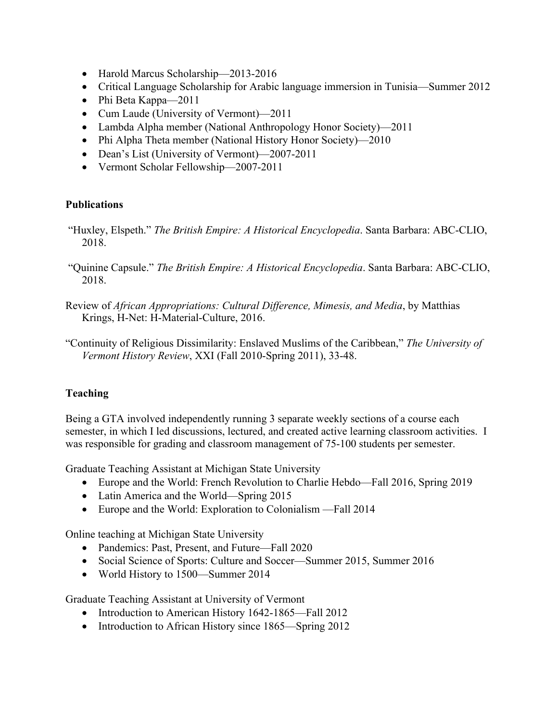- Harold Marcus Scholarship—2013-2016
- Critical Language Scholarship for Arabic language immersion in Tunisia—Summer 2012
- Phi Beta Kappa—2011
- Cum Laude (University of Vermont)—2011
- Lambda Alpha member (National Anthropology Honor Society)—2011
- Phi Alpha Theta member (National History Honor Society)—2010
- Dean's List (University of Vermont)—2007-2011
- Vermont Scholar Fellowship—2007-2011

### **Publications**

- "Huxley, Elspeth." *The British Empire: A Historical Encyclopedia*. Santa Barbara: ABC-CLIO, 2018.
- "Quinine Capsule." *The British Empire: A Historical Encyclopedia*. Santa Barbara: ABC-CLIO, 2018.
- Review of *African Appropriations: Cultural Difference, Mimesis, and Media*, by Matthias Krings, H-Net: H-Material-Culture, 2016.
- "Continuity of Religious Dissimilarity: Enslaved Muslims of the Caribbean," *The University of Vermont History Review*, XXI (Fall 2010-Spring 2011), 33-48.

# **Teaching**

Being a GTA involved independently running 3 separate weekly sections of a course each semester, in which I led discussions, lectured, and created active learning classroom activities. I was responsible for grading and classroom management of 75-100 students per semester.

Graduate Teaching Assistant at Michigan State University

- Europe and the World: French Revolution to Charlie Hebdo—Fall 2016, Spring 2019
- Latin America and the World—Spring 2015
- Europe and the World: Exploration to Colonialism —Fall 2014

Online teaching at Michigan State University

- Pandemics: Past, Present, and Future—Fall 2020
- Social Science of Sports: Culture and Soccer—Summer 2015, Summer 2016
- World History to 1500—Summer 2014

Graduate Teaching Assistant at University of Vermont

- Introduction to American History 1642-1865—Fall 2012
- Introduction to African History since 1865—Spring 2012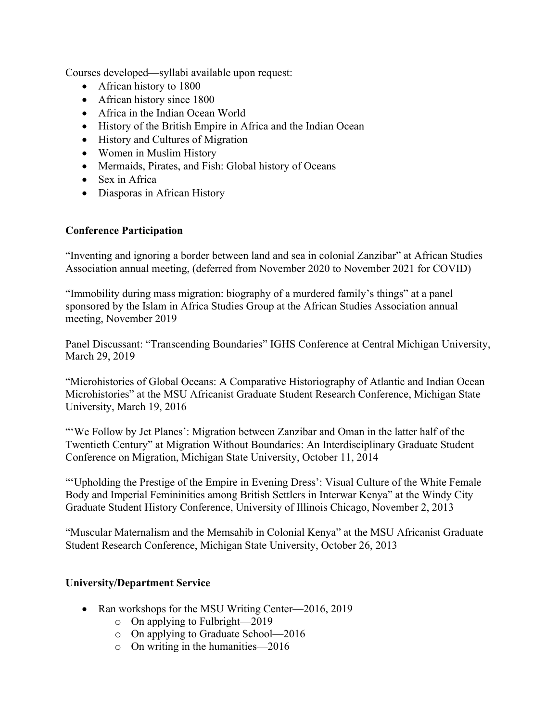Courses developed—syllabi available upon request:

- African history to 1800
- African history since 1800
- Africa in the Indian Ocean World
- History of the British Empire in Africa and the Indian Ocean
- History and Cultures of Migration
- Women in Muslim History
- Mermaids, Pirates, and Fish: Global history of Oceans
- Sex in Africa
- Diasporas in African History

### **Conference Participation**

"Inventing and ignoring a border between land and sea in colonial Zanzibar" at African Studies Association annual meeting, (deferred from November 2020 to November 2021 for COVID)

"Immobility during mass migration: biography of a murdered family's things" at a panel sponsored by the Islam in Africa Studies Group at the African Studies Association annual meeting, November 2019

Panel Discussant: "Transcending Boundaries" IGHS Conference at Central Michigan University, March 29, 2019

"Microhistories of Global Oceans: A Comparative Historiography of Atlantic and Indian Ocean Microhistories" at the MSU Africanist Graduate Student Research Conference, Michigan State University, March 19, 2016

"We Follow by Jet Planes': Migration between Zanzibar and Oman in the latter half of the Twentieth Century" at Migration Without Boundaries: An Interdisciplinary Graduate Student Conference on Migration, Michigan State University, October 11, 2014

"'Upholding the Prestige of the Empire in Evening Dress': Visual Culture of the White Female Body and Imperial Femininities among British Settlers in Interwar Kenya" at the Windy City Graduate Student History Conference, University of Illinois Chicago, November 2, 2013

"Muscular Maternalism and the Memsahib in Colonial Kenya" at the MSU Africanist Graduate Student Research Conference, Michigan State University, October 26, 2013

### **University/Department Service**

- Ran workshops for the MSU Writing Center—2016, 2019
	- o On applying to Fulbright—2019
	- o On applying to Graduate School—2016
	- o On writing in the humanities—2016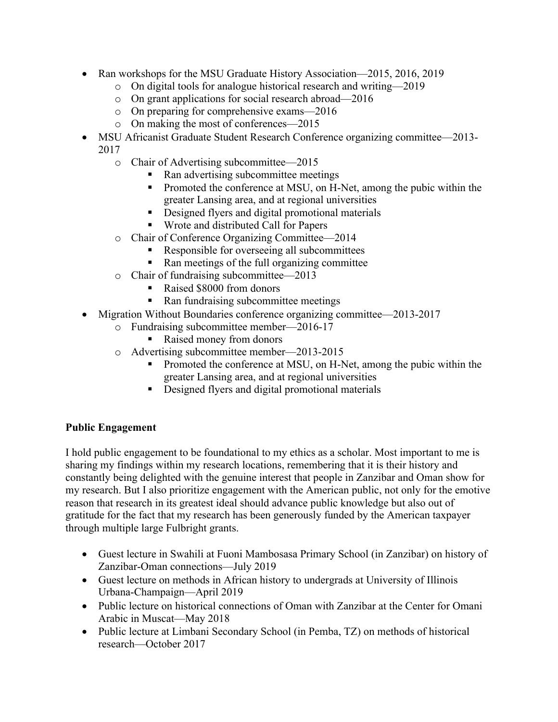- Ran workshops for the MSU Graduate History Association—2015, 2016, 2019
	- o On digital tools for analogue historical research and writing—2019
	- o On grant applications for social research abroad—2016
	- o On preparing for comprehensive exams—2016
	- o On making the most of conferences—2015
- MSU Africanist Graduate Student Research Conference organizing committee—2013- 2017
	- o Chair of Advertising subcommittee—2015
		- § Ran advertising subcommittee meetings
		- Promoted the conference at MSU, on H-Net, among the pubic within the greater Lansing area, and at regional universities
		- Designed flyers and digital promotional materials
		- § Wrote and distributed Call for Papers
	- o Chair of Conference Organizing Committee—2014
		- Responsible for overseeing all subcommittees
			- § Ran meetings of the full organizing committee
	- o Chair of fundraising subcommittee—2013
		- Raised \$8000 from donors
		- Ran fundraising subcommittee meetings
	- Migration Without Boundaries conference organizing committee—2013-2017
		- o Fundraising subcommittee member—2016-17
			- Raised money from donors
		- o Advertising subcommittee member—2013-2015
			- § Promoted the conference at MSU, on H-Net, among the pubic within the greater Lansing area, and at regional universities
			- Designed flyers and digital promotional materials

### **Public Engagement**

I hold public engagement to be foundational to my ethics as a scholar. Most important to me is sharing my findings within my research locations, remembering that it is their history and constantly being delighted with the genuine interest that people in Zanzibar and Oman show for my research. But I also prioritize engagement with the American public, not only for the emotive reason that research in its greatest ideal should advance public knowledge but also out of gratitude for the fact that my research has been generously funded by the American taxpayer through multiple large Fulbright grants.

- Guest lecture in Swahili at Fuoni Mambosasa Primary School (in Zanzibar) on history of Zanzibar-Oman connections—July 2019
- Guest lecture on methods in African history to undergrads at University of Illinois Urbana-Champaign—April 2019
- Public lecture on historical connections of Oman with Zanzibar at the Center for Omani Arabic in Muscat—May 2018
- Public lecture at Limbani Secondary School (in Pemba, TZ) on methods of historical research—October 2017